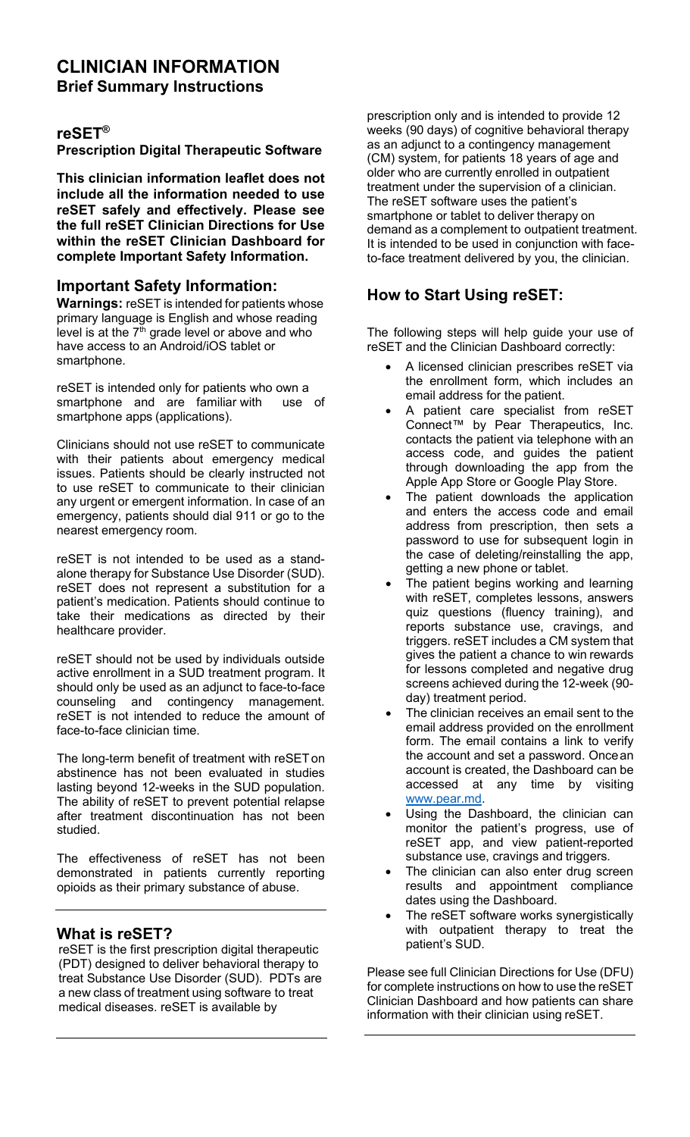### **CLINICIAN INFORMATION Brief Summary Instructions**

### **reSET®**

**Prescription Digital Therapeutic Software**

**This clinician information leaflet does not include all the information needed to use reSET safely and effectively. Please see the full reSET Clinician Directions for Use within the reSET Clinician Dashboard for complete Important Safety Information.**

#### **Important Safety Information:**

**Warnings:** reSET is intended for patients whose primary language is English and whose reading level is at the  $7<sup>th</sup>$  grade level or above and who have access to an Android/iOS tablet or smartphone.

reSET is intended only for patients who own a smartphone and are familiar with use of smartphone apps (applications).

Clinicians should not use reSET to communicate with their patients about emergency medical issues. Patients should be clearly instructed not to use reSET to communicate to their clinician any urgent or emergent information. In case of an emergency, patients should dial 911 or go to the nearest emergency room.

reSET is not intended to be used as a standalone therapy for Substance Use Disorder (SUD). reSET does not represent a substitution for a patient's medication. Patients should continue to take their medications as directed by their healthcare provider.

reSET should not be used by individuals outside active enrollment in a SUD treatment program. It should only be used as an adjunct to face-to-face<br>counseling and contingency management. contingency management. reSET is not intended to reduce the amount of face-to-face clinician time.

The long-term benefit of treatment with reSETon abstinence has not been evaluated in studies lasting beyond 12-weeks in the SUD population. The ability of reSET to prevent potential relapse after treatment discontinuation has not been studied.

The effectiveness of reSET has not been demonstrated in patients currently reporting opioids as their primary substance of abuse.

#### **What is reSET?**

reSET is the first prescription digital therapeutic (PDT) designed to deliver behavioral therapy to treat Substance Use Disorder (SUD). PDTs are a new class of treatment using software to treat medical diseases. reSET is available by

prescription only and is intended to provide 12 weeks (90 days) of cognitive behavioral therapy as an adjunct to a contingency management (CM) system, for patients 18 years of age and older who are currently enrolled in outpatient treatment under the supervision of a clinician. The reSET software uses the patient's smartphone or tablet to deliver therapy on demand as a complement to outpatient treatment. It is intended to be used in conjunction with faceto-face treatment delivered by you, the clinician.

# **How to Start Using reSET:**

The following steps will help guide your use of reSET and the Clinician Dashboard correctly:

- A licensed clinician prescribes reSET via the enrollment form, which includes an email address for the patient.
- A patient care specialist from reSET Connect™ by Pear Therapeutics, Inc. contacts the patient via telephone with an access code, and guides the patient through downloading the app from the Apple App Store or Google Play Store.
- The patient downloads the application and enters the access code and email address from prescription, then sets a password to use for subsequent login in the case of deleting/reinstalling the app, getting a new phone or tablet.
- The patient begins working and learning with reSET, completes lessons, answers quiz questions (fluency training), and reports substance use, cravings, and triggers. reSET includes a CM system that gives the patient a chance to win rewards for lessons completed and negative drug screens achieved during the 12-week (90 day) treatment period.
- The clinician receives an email sent to the email address provided on the enrollment form. The email contains a link to verify the account and set a password. Oncean account is created, the Dashboard can be accessed at any time by visiting [www.pear.md.](http://www.pear.md/)
- Using the Dashboard, the clinician can monitor the patient's progress, use of reSET app, and view patient-reported substance use, cravings and triggers.
- The clinician can also enter drug screen results and appointment compliance dates using the Dashboard.
- The reSET software works synergistically with outpatient therapy to treat the patient's SUD.

Please see full Clinician Directions for Use (DFU) for complete instructions on how to use the reSET Clinician Dashboard and how patients can share information with their clinician using reSET.